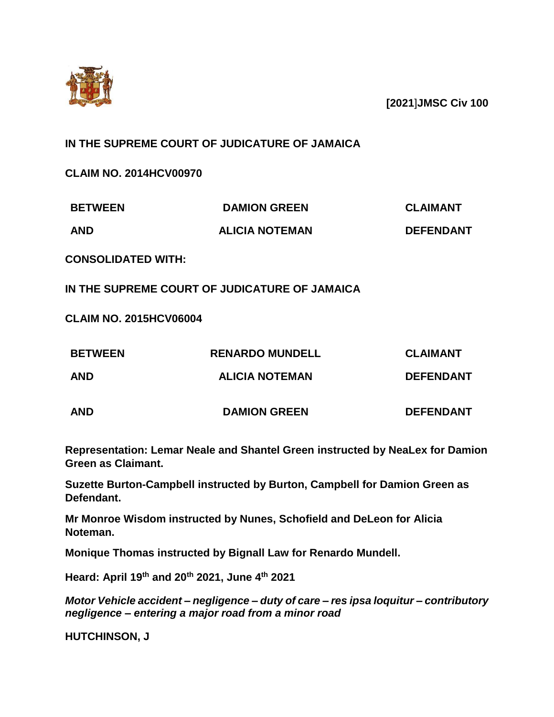

**[2021**]**JMSC Civ 100**

## **IN THE SUPREME COURT OF JUDICATURE OF JAMAICA**

**CLAIM NO. 2014HCV00970**

| <b>BETWEEN</b> | <b>DAMION GREEN</b>   | <b>CLAIMANT</b>  |
|----------------|-----------------------|------------------|
| <b>AND</b>     | <b>ALICIA NOTEMAN</b> | <b>DEFENDANT</b> |

**CONSOLIDATED WITH:**

**IN THE SUPREME COURT OF JUDICATURE OF JAMAICA**

**CLAIM NO. 2015HCV06004**

| <b>BETWEEN</b> | <b>RENARDO MUNDELL</b> | <b>CLAIMANT</b>  |
|----------------|------------------------|------------------|
| <b>AND</b>     | <b>ALICIA NOTEMAN</b>  | <b>DEFENDANT</b> |
| <b>AND</b>     | <b>DAMION GREEN</b>    | <b>DEFENDANT</b> |

**Representation: Lemar Neale and Shantel Green instructed by NeaLex for Damion Green as Claimant.**

**Suzette Burton-Campbell instructed by Burton, Campbell for Damion Green as Defendant.**

**Mr Monroe Wisdom instructed by Nunes, Schofield and DeLeon for Alicia Noteman.**

**Monique Thomas instructed by Bignall Law for Renardo Mundell.**

**Heard: April 19th and 20th 2021, June 4th 2021**

*Motor Vehicle accident – negligence – duty of care – res ipsa loquitur – contributory negligence – entering a major road from a minor road* 

**HUTCHINSON, J**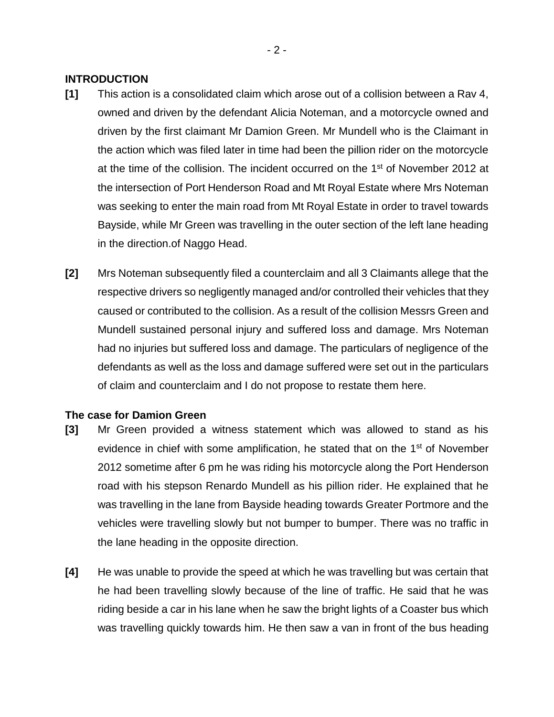### **INTRODUCTION**

- **[1]** This action is a consolidated claim which arose out of a collision between a Rav 4, owned and driven by the defendant Alicia Noteman, and a motorcycle owned and driven by the first claimant Mr Damion Green. Mr Mundell who is the Claimant in the action which was filed later in time had been the pillion rider on the motorcycle at the time of the collision. The incident occurred on the 1<sup>st</sup> of November 2012 at the intersection of Port Henderson Road and Mt Royal Estate where Mrs Noteman was seeking to enter the main road from Mt Royal Estate in order to travel towards Bayside, while Mr Green was travelling in the outer section of the left lane heading in the direction.of Naggo Head.
- **[2]** Mrs Noteman subsequently filed a counterclaim and all 3 Claimants allege that the respective drivers so negligently managed and/or controlled their vehicles that they caused or contributed to the collision. As a result of the collision Messrs Green and Mundell sustained personal injury and suffered loss and damage. Mrs Noteman had no injuries but suffered loss and damage. The particulars of negligence of the defendants as well as the loss and damage suffered were set out in the particulars of claim and counterclaim and I do not propose to restate them here.

## **The case for Damion Green**

- **[3]** Mr Green provided a witness statement which was allowed to stand as his evidence in chief with some amplification, he stated that on the 1<sup>st</sup> of November 2012 sometime after 6 pm he was riding his motorcycle along the Port Henderson road with his stepson Renardo Mundell as his pillion rider. He explained that he was travelling in the lane from Bayside heading towards Greater Portmore and the vehicles were travelling slowly but not bumper to bumper. There was no traffic in the lane heading in the opposite direction.
- **[4]** He was unable to provide the speed at which he was travelling but was certain that he had been travelling slowly because of the line of traffic. He said that he was riding beside a car in his lane when he saw the bright lights of a Coaster bus which was travelling quickly towards him. He then saw a van in front of the bus heading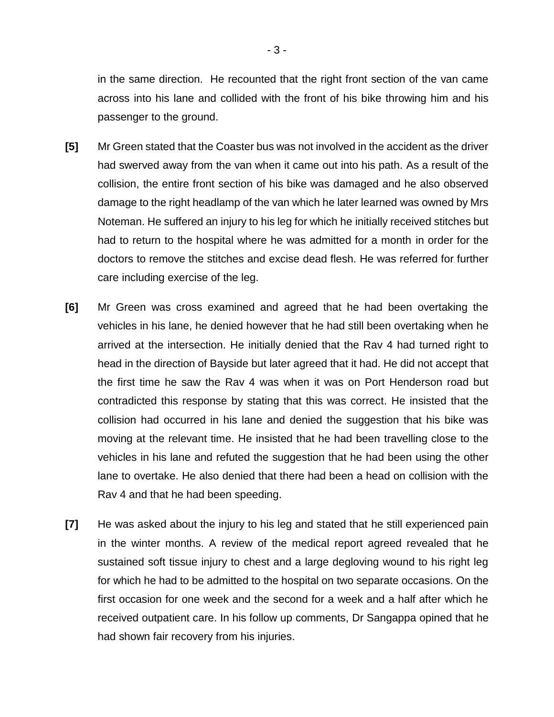in the same direction. He recounted that the right front section of the van came across into his lane and collided with the front of his bike throwing him and his passenger to the ground.

- **[5]** Mr Green stated that the Coaster bus was not involved in the accident as the driver had swerved away from the van when it came out into his path. As a result of the collision, the entire front section of his bike was damaged and he also observed damage to the right headlamp of the van which he later learned was owned by Mrs Noteman. He suffered an injury to his leg for which he initially received stitches but had to return to the hospital where he was admitted for a month in order for the doctors to remove the stitches and excise dead flesh. He was referred for further care including exercise of the leg.
- **[6]** Mr Green was cross examined and agreed that he had been overtaking the vehicles in his lane, he denied however that he had still been overtaking when he arrived at the intersection. He initially denied that the Rav 4 had turned right to head in the direction of Bayside but later agreed that it had. He did not accept that the first time he saw the Rav 4 was when it was on Port Henderson road but contradicted this response by stating that this was correct. He insisted that the collision had occurred in his lane and denied the suggestion that his bike was moving at the relevant time. He insisted that he had been travelling close to the vehicles in his lane and refuted the suggestion that he had been using the other lane to overtake. He also denied that there had been a head on collision with the Rav 4 and that he had been speeding.
- **[7]** He was asked about the injury to his leg and stated that he still experienced pain in the winter months. A review of the medical report agreed revealed that he sustained soft tissue injury to chest and a large degloving wound to his right leg for which he had to be admitted to the hospital on two separate occasions. On the first occasion for one week and the second for a week and a half after which he received outpatient care. In his follow up comments, Dr Sangappa opined that he had shown fair recovery from his injuries.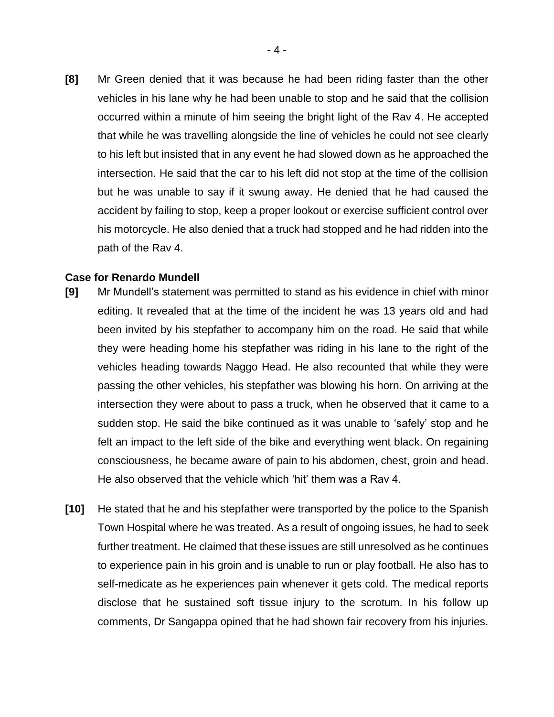**[8]** Mr Green denied that it was because he had been riding faster than the other vehicles in his lane why he had been unable to stop and he said that the collision occurred within a minute of him seeing the bright light of the Rav 4. He accepted that while he was travelling alongside the line of vehicles he could not see clearly to his left but insisted that in any event he had slowed down as he approached the intersection. He said that the car to his left did not stop at the time of the collision but he was unable to say if it swung away. He denied that he had caused the accident by failing to stop, keep a proper lookout or exercise sufficient control over his motorcycle. He also denied that a truck had stopped and he had ridden into the path of the Rav 4.

#### **Case for Renardo Mundell**

- **[9]** Mr Mundell's statement was permitted to stand as his evidence in chief with minor editing. It revealed that at the time of the incident he was 13 years old and had been invited by his stepfather to accompany him on the road. He said that while they were heading home his stepfather was riding in his lane to the right of the vehicles heading towards Naggo Head. He also recounted that while they were passing the other vehicles, his stepfather was blowing his horn. On arriving at the intersection they were about to pass a truck, when he observed that it came to a sudden stop. He said the bike continued as it was unable to 'safely' stop and he felt an impact to the left side of the bike and everything went black. On regaining consciousness, he became aware of pain to his abdomen, chest, groin and head. He also observed that the vehicle which 'hit' them was a Rav 4.
- **[10]** He stated that he and his stepfather were transported by the police to the Spanish Town Hospital where he was treated. As a result of ongoing issues, he had to seek further treatment. He claimed that these issues are still unresolved as he continues to experience pain in his groin and is unable to run or play football. He also has to self-medicate as he experiences pain whenever it gets cold. The medical reports disclose that he sustained soft tissue injury to the scrotum. In his follow up comments, Dr Sangappa opined that he had shown fair recovery from his injuries.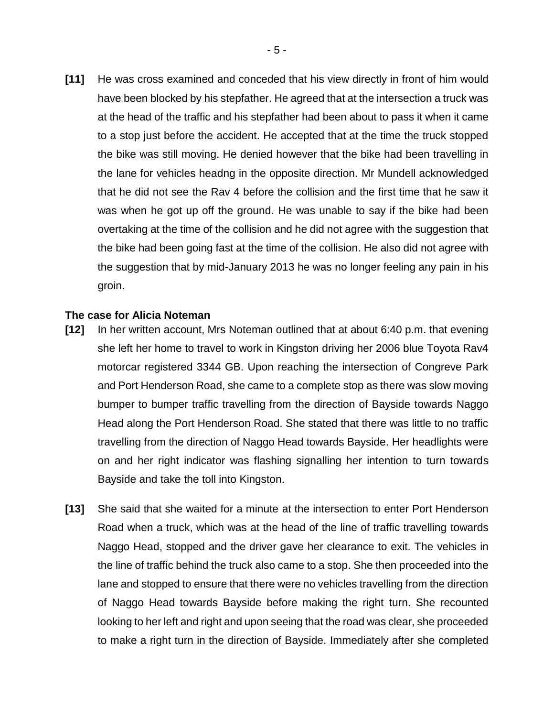**[11]** He was cross examined and conceded that his view directly in front of him would have been blocked by his stepfather. He agreed that at the intersection a truck was at the head of the traffic and his stepfather had been about to pass it when it came to a stop just before the accident. He accepted that at the time the truck stopped the bike was still moving. He denied however that the bike had been travelling in the lane for vehicles headng in the opposite direction. Mr Mundell acknowledged that he did not see the Rav 4 before the collision and the first time that he saw it was when he got up off the ground. He was unable to say if the bike had been overtaking at the time of the collision and he did not agree with the suggestion that the bike had been going fast at the time of the collision. He also did not agree with the suggestion that by mid-January 2013 he was no longer feeling any pain in his groin.

#### **The case for Alicia Noteman**

- **[12]** In her written account, Mrs Noteman outlined that at about 6:40 p.m. that evening she left her home to travel to work in Kingston driving her 2006 blue Toyota Rav4 motorcar registered 3344 GB. Upon reaching the intersection of Congreve Park and Port Henderson Road, she came to a complete stop as there was slow moving bumper to bumper traffic travelling from the direction of Bayside towards Naggo Head along the Port Henderson Road. She stated that there was little to no traffic travelling from the direction of Naggo Head towards Bayside. Her headlights were on and her right indicator was flashing signalling her intention to turn towards Bayside and take the toll into Kingston.
- **[13]** She said that she waited for a minute at the intersection to enter Port Henderson Road when a truck, which was at the head of the line of traffic travelling towards Naggo Head, stopped and the driver gave her clearance to exit. The vehicles in the line of traffic behind the truck also came to a stop. She then proceeded into the lane and stopped to ensure that there were no vehicles travelling from the direction of Naggo Head towards Bayside before making the right turn. She recounted looking to her left and right and upon seeing that the road was clear, she proceeded to make a right turn in the direction of Bayside. Immediately after she completed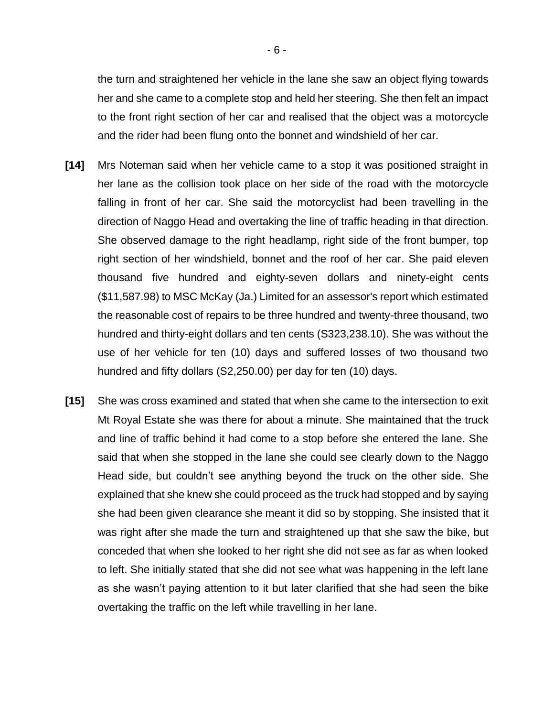the turn and straightened her vehicle in the lane she saw an object flying towards her and she came to a complete stop and held her steering. She then felt an impact to the front right section of her car and realised that the object was a motorcycle and the rider had been flung onto the bonnet and windshield of her car.

- **[14]** Mrs Noteman said when her vehicle came to a stop it was positioned straight in her lane as the collision took place on her side of the road with the motorcycle falling in front of her car. She said the motorcyclist had been travelling in the direction of Naggo Head and overtaking the line of traffic heading in that direction. She observed damage to the right headlamp, right side of the front bumper, top right section of her windshield, bonnet and the roof of her car. She paid eleven thousand five hundred and eighty-seven dollars and ninety-eight cents (\$11,587.98) to MSC McKay (Ja.) Limited for an assessor's report which estimated the reasonable cost of repairs to be three hundred and twenty-three thousand, two hundred and thirty-eight dollars and ten cents (S323,238.10). She was without the use of her vehicle for ten (10) days and suffered losses of two thousand two hundred and fifty dollars (S2,250.00) per day for ten (10) days.
- **[15]** She was cross examined and stated that when she came to the intersection to exit Mt Royal Estate she was there for about a minute. She maintained that the truck and line of traffic behind it had come to a stop before she entered the lane. She said that when she stopped in the lane she could see clearly down to the Naggo Head side, but couldn't see anything beyond the truck on the other side. She explained that she knew she could proceed as the truck had stopped and by saying she had been given clearance she meant it did so by stopping. She insisted that it was right after she made the turn and straightened up that she saw the bike, but conceded that when she looked to her right she did not see as far as when looked to left. She initially stated that she did not see what was happening in the left lane as she wasn't paying attention to it but later clarified that she had seen the bike overtaking the traffic on the left while travelling in her lane.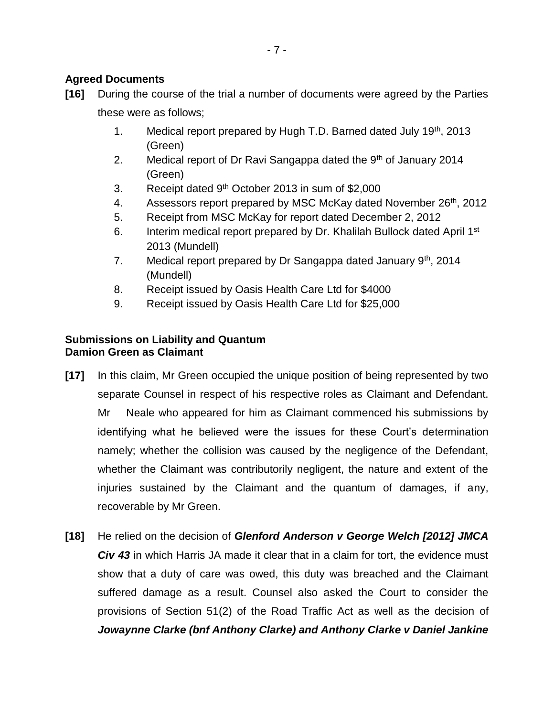## **Agreed Documents**

- **[16]** During the course of the trial a number of documents were agreed by the Parties these were as follows;
	- 1. Medical report prepared by Hugh T.D. Barned dated July 19th, 2013 (Green)
	- 2. Medical report of Dr Ravi Sangappa dated the  $9<sup>th</sup>$  of January 2014 (Green)
	- 3. Receipt dated  $9<sup>th</sup>$  October 2013 in sum of \$2,000
	- 4. Assessors report prepared by MSC McKay dated November 26<sup>th</sup>, 2012
	- 5. Receipt from MSC McKay for report dated December 2, 2012
	- 6. Interim medical report prepared by Dr. Khalilah Bullock dated April 1<sup>st</sup> 2013 (Mundell)
	- 7. Medical report prepared by Dr Sangappa dated January  $9<sup>th</sup>$ , 2014 (Mundell)
	- 8. Receipt issued by Oasis Health Care Ltd for \$4000
	- 9. Receipt issued by Oasis Health Care Ltd for \$25,000

## **Submissions on Liability and Quantum Damion Green as Claimant**

- **[17]** In this claim, Mr Green occupied the unique position of being represented by two separate Counsel in respect of his respective roles as Claimant and Defendant. Mr Neale who appeared for him as Claimant commenced his submissions by identifying what he believed were the issues for these Court's determination namely; whether the collision was caused by the negligence of the Defendant, whether the Claimant was contributorily negligent, the nature and extent of the injuries sustained by the Claimant and the quantum of damages, if any, recoverable by Mr Green.
- **[18]** He relied on the decision of *Glenford Anderson v George Welch [2012] JMCA Civ 43* in which Harris JA made it clear that in a claim for tort, the evidence must show that a duty of care was owed, this duty was breached and the Claimant suffered damage as a result. Counsel also asked the Court to consider the provisions of Section 51(2) of the Road Traffic Act as well as the decision of *Jowaynne Clarke (bnf Anthony Clarke) and Anthony Clarke v Daniel Jankine*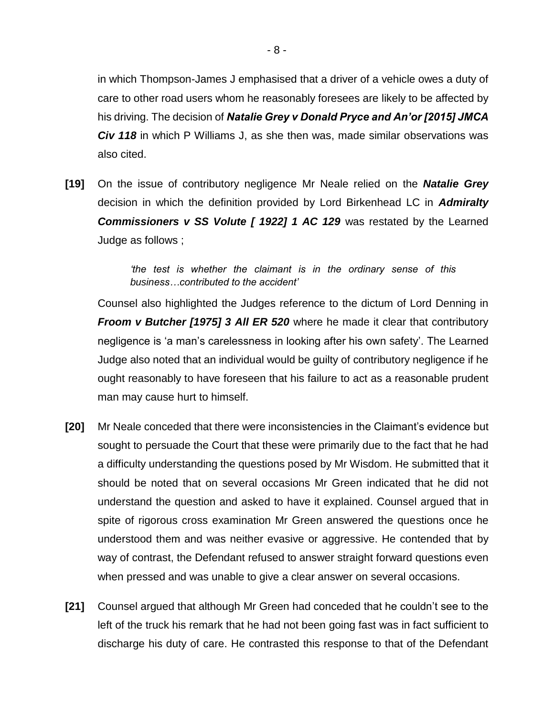in which Thompson-James J emphasised that a driver of a vehicle owes a duty of care to other road users whom he reasonably foresees are likely to be affected by his driving. The decision of *Natalie Grey v Donald Pryce and An'or [2015] JMCA Civ 118* in which P Williams J, as she then was, made similar observations was also cited.

**[19]** On the issue of contributory negligence Mr Neale relied on the *Natalie Grey*  decision in which the definition provided by Lord Birkenhead LC in *Admiralty*  **Commissioners v SS Volute [ 1922] 1 AC 129** was restated by the Learned Judge as follows ;

> *'the test is whether the claimant is in the ordinary sense of this business…contributed to the accident'*

Counsel also highlighted the Judges reference to the dictum of Lord Denning in *Froom v Butcher [1975] 3 All ER 520* where he made it clear that contributory negligence is 'a man's carelessness in looking after his own safety'. The Learned Judge also noted that an individual would be guilty of contributory negligence if he ought reasonably to have foreseen that his failure to act as a reasonable prudent man may cause hurt to himself.

- **[20]** Mr Neale conceded that there were inconsistencies in the Claimant's evidence but sought to persuade the Court that these were primarily due to the fact that he had a difficulty understanding the questions posed by Mr Wisdom. He submitted that it should be noted that on several occasions Mr Green indicated that he did not understand the question and asked to have it explained. Counsel argued that in spite of rigorous cross examination Mr Green answered the questions once he understood them and was neither evasive or aggressive. He contended that by way of contrast, the Defendant refused to answer straight forward questions even when pressed and was unable to give a clear answer on several occasions.
- **[21]** Counsel argued that although Mr Green had conceded that he couldn't see to the left of the truck his remark that he had not been going fast was in fact sufficient to discharge his duty of care. He contrasted this response to that of the Defendant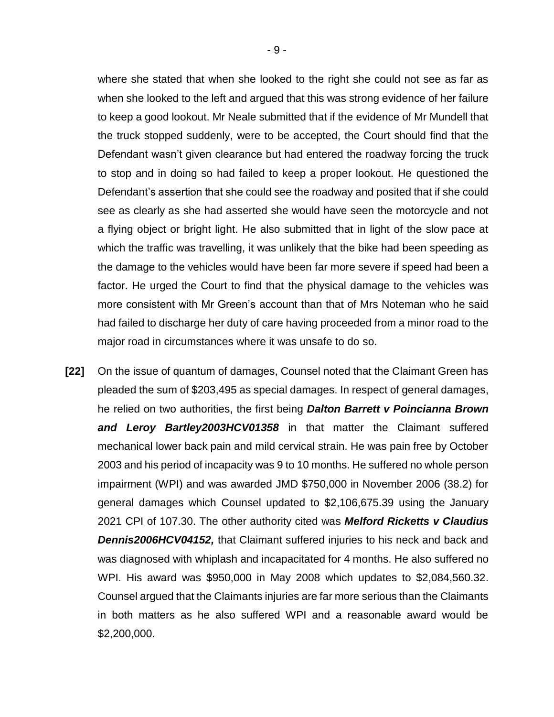where she stated that when she looked to the right she could not see as far as when she looked to the left and argued that this was strong evidence of her failure to keep a good lookout. Mr Neale submitted that if the evidence of Mr Mundell that the truck stopped suddenly, were to be accepted, the Court should find that the Defendant wasn't given clearance but had entered the roadway forcing the truck to stop and in doing so had failed to keep a proper lookout. He questioned the Defendant's assertion that she could see the roadway and posited that if she could see as clearly as she had asserted she would have seen the motorcycle and not a flying object or bright light. He also submitted that in light of the slow pace at which the traffic was travelling, it was unlikely that the bike had been speeding as the damage to the vehicles would have been far more severe if speed had been a factor. He urged the Court to find that the physical damage to the vehicles was more consistent with Mr Green's account than that of Mrs Noteman who he said had failed to discharge her duty of care having proceeded from a minor road to the major road in circumstances where it was unsafe to do so.

**[22]** On the issue of quantum of damages, Counsel noted that the Claimant Green has pleaded the sum of \$203,495 as special damages. In respect of general damages, he relied on two authorities, the first being *Dalton Barrett v Poincianna Brown and Leroy Bartley2003HCV01358* in that matter the Claimant suffered mechanical lower back pain and mild cervical strain. He was pain free by October 2003 and his period of incapacity was 9 to 10 months. He suffered no whole person impairment (WPI) and was awarded JMD \$750,000 in November 2006 (38.2) for general damages which Counsel updated to \$2,106,675.39 using the January 2021 CPI of 107.30. The other authority cited was *Melford Ricketts v Claudius Dennis2006HCV04152,* that Claimant suffered injuries to his neck and back and was diagnosed with whiplash and incapacitated for 4 months. He also suffered no WPI. His award was \$950,000 in May 2008 which updates to \$2,084,560.32. Counsel argued that the Claimants injuries are far more serious than the Claimants in both matters as he also suffered WPI and a reasonable award would be \$2,200,000.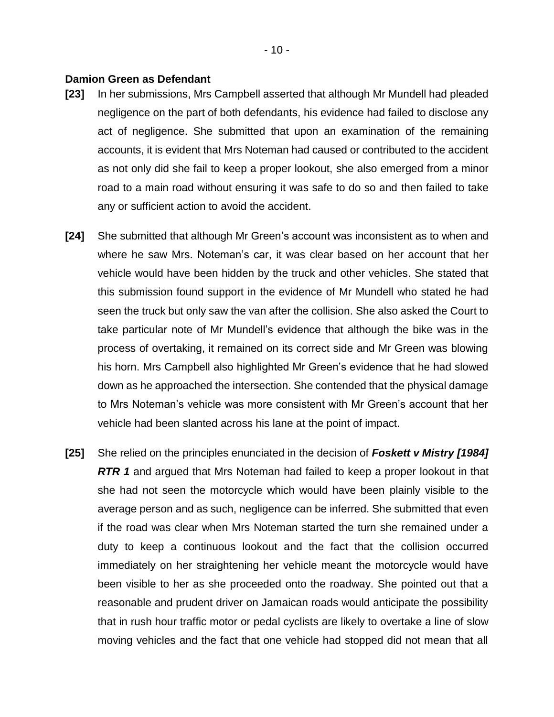#### **Damion Green as Defendant**

- **[23]** In her submissions, Mrs Campbell asserted that although Mr Mundell had pleaded negligence on the part of both defendants, his evidence had failed to disclose any act of negligence. She submitted that upon an examination of the remaining accounts, it is evident that Mrs Noteman had caused or contributed to the accident as not only did she fail to keep a proper lookout, she also emerged from a minor road to a main road without ensuring it was safe to do so and then failed to take any or sufficient action to avoid the accident.
- **[24]** She submitted that although Mr Green's account was inconsistent as to when and where he saw Mrs. Noteman's car, it was clear based on her account that her vehicle would have been hidden by the truck and other vehicles. She stated that this submission found support in the evidence of Mr Mundell who stated he had seen the truck but only saw the van after the collision. She also asked the Court to take particular note of Mr Mundell's evidence that although the bike was in the process of overtaking, it remained on its correct side and Mr Green was blowing his horn. Mrs Campbell also highlighted Mr Green's evidence that he had slowed down as he approached the intersection. She contended that the physical damage to Mrs Noteman's vehicle was more consistent with Mr Green's account that her vehicle had been slanted across his lane at the point of impact.
- **[25]** She relied on the principles enunciated in the decision of *Foskett v Mistry [1984] RTR 1* and argued that Mrs Noteman had failed to keep a proper lookout in that she had not seen the motorcycle which would have been plainly visible to the average person and as such, negligence can be inferred. She submitted that even if the road was clear when Mrs Noteman started the turn she remained under a duty to keep a continuous lookout and the fact that the collision occurred immediately on her straightening her vehicle meant the motorcycle would have been visible to her as she proceeded onto the roadway. She pointed out that a reasonable and prudent driver on Jamaican roads would anticipate the possibility that in rush hour traffic motor or pedal cyclists are likely to overtake a line of slow moving vehicles and the fact that one vehicle had stopped did not mean that all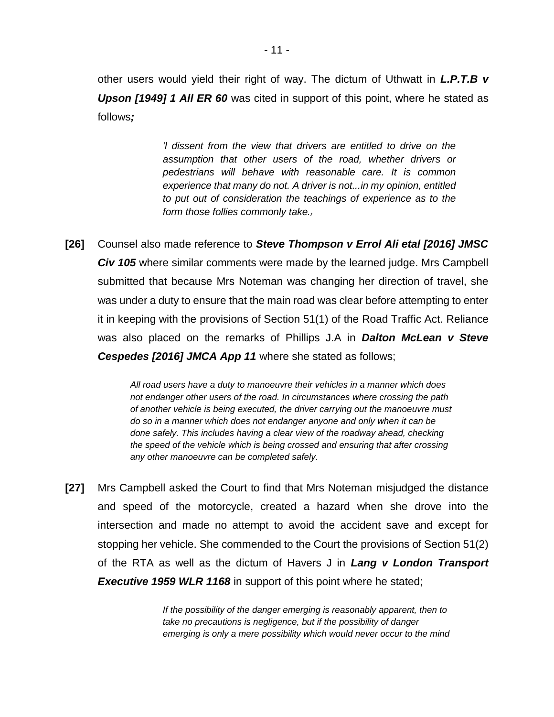other users would yield their right of way. The dictum of Uthwatt in *L.P.T.B v Upson [1949] 1 All ER 60* was cited in support of this point, where he stated as follows*;*

> *'l dissent from the view that drivers are entitled to drive on the assumption that other users of the road, whether drivers or pedestrians will behave with reasonable care. It is common experience that many do not. A driver is not...in my opinion, entitled to put out of consideration the teachings of experience as to the form those follies commonly take.*

**[26]** Counsel also made reference to *Steve Thompson v Errol Ali etal [2016] JMSC Civ 105* where similar comments were made by the learned judge. Mrs Campbell submitted that because Mrs Noteman was changing her direction of travel, she was under a duty to ensure that the main road was clear before attempting to enter it in keeping with the provisions of Section 51(1) of the Road Traffic Act. Reliance was also placed on the remarks of Phillips J.A in *Dalton McLean v Steve Cespedes [2016] JMCA App 11* where she stated as follows;

> *All road users have a duty to manoeuvre their vehicles in a manner which does not endanger other users of the road. In circumstances where crossing the path of another vehicle is being executed, the driver carrying out the manoeuvre must do so in a manner which does not endanger anyone and only when it can be done safely. This includes having a clear view of the roadway ahead, checking the speed of the vehicle which is being crossed and ensuring that after crossing any other manoeuvre can be completed safely.*

**[27]** Mrs Campbell asked the Court to find that Mrs Noteman misjudged the distance and speed of the motorcycle, created a hazard when she drove into the intersection and made no attempt to avoid the accident save and except for stopping her vehicle. She commended to the Court the provisions of Section 51(2) of the RTA as well as the dictum of Havers J in *Lang v London Transport*  **Executive 1959 WLR 1168** in support of this point where he stated;

> *If the possibility of the danger emerging is reasonably apparent, then to take no precautions is negligence, but if the possibility of danger emerging is only a mere possibility which would never occur to the mind*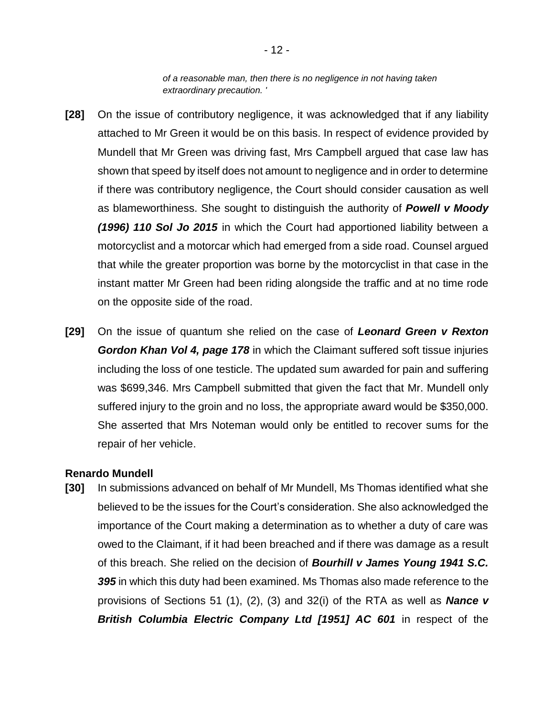*of a reasonable man, then there is no negligence in not having taken extraordinary precaution. '*

- **[28]** On the issue of contributory negligence, it was acknowledged that if any liability attached to Mr Green it would be on this basis. In respect of evidence provided by Mundell that Mr Green was driving fast, Mrs Campbell argued that case law has shown that speed by itself does not amount to negligence and in order to determine if there was contributory negligence, the Court should consider causation as well as blameworthiness. She sought to distinguish the authority of *Powell v Moody (1996) 110 Sol Jo 2015* in which the Court had apportioned liability between a motorcyclist and a motorcar which had emerged from a side road. Counsel argued that while the greater proportion was borne by the motorcyclist in that case in the instant matter Mr Green had been riding alongside the traffic and at no time rode on the opposite side of the road.
- **[29]** On the issue of quantum she relied on the case of *Leonard Green v Rexton Gordon Khan Vol 4, page 178* in which the Claimant suffered soft tissue injuries including the loss of one testicle. The updated sum awarded for pain and suffering was \$699,346. Mrs Campbell submitted that given the fact that Mr. Mundell only suffered injury to the groin and no loss, the appropriate award would be \$350,000. She asserted that Mrs Noteman would only be entitled to recover sums for the repair of her vehicle.

#### **Renardo Mundell**

**[30]** In submissions advanced on behalf of Mr Mundell, Ms Thomas identified what she believed to be the issues for the Court's consideration. She also acknowledged the importance of the Court making a determination as to whether a duty of care was owed to the Claimant, if it had been breached and if there was damage as a result of this breach. She relied on the decision of *Bourhill v James Young 1941 S.C. 395* in which this duty had been examined. Ms Thomas also made reference to the provisions of Sections 51 (1), (2), (3) and 32(i) of the RTA as well as *Nance v British Columbia Electric Company Ltd [1951] AC 601* in respect of the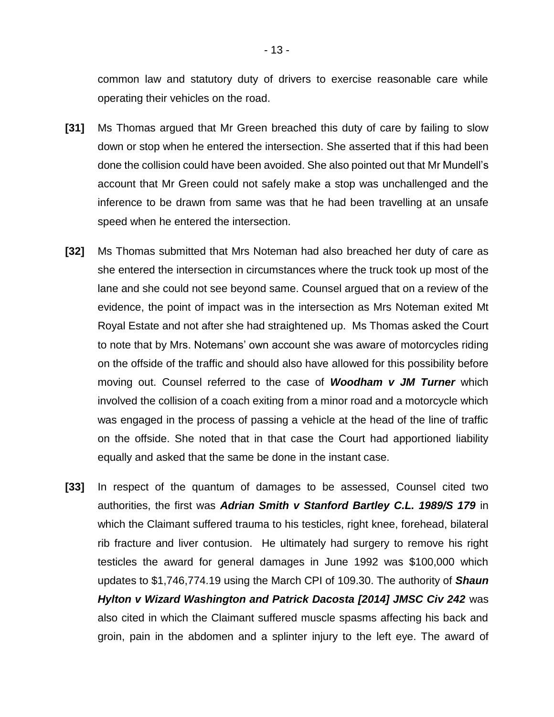common law and statutory duty of drivers to exercise reasonable care while operating their vehicles on the road.

- **[31]** Ms Thomas argued that Mr Green breached this duty of care by failing to slow down or stop when he entered the intersection. She asserted that if this had been done the collision could have been avoided. She also pointed out that Mr Mundell's account that Mr Green could not safely make a stop was unchallenged and the inference to be drawn from same was that he had been travelling at an unsafe speed when he entered the intersection.
- **[32]** Ms Thomas submitted that Mrs Noteman had also breached her duty of care as she entered the intersection in circumstances where the truck took up most of the lane and she could not see beyond same. Counsel argued that on a review of the evidence, the point of impact was in the intersection as Mrs Noteman exited Mt Royal Estate and not after she had straightened up. Ms Thomas asked the Court to note that by Mrs. Notemans' own account she was aware of motorcycles riding on the offside of the traffic and should also have allowed for this possibility before moving out. Counsel referred to the case of *Woodham v JM Turner* which involved the collision of a coach exiting from a minor road and a motorcycle which was engaged in the process of passing a vehicle at the head of the line of traffic on the offside. She noted that in that case the Court had apportioned liability equally and asked that the same be done in the instant case.
- **[33]** In respect of the quantum of damages to be assessed, Counsel cited two authorities, the first was *Adrian Smith v Stanford Bartley C.L. 1989/S 179* in which the Claimant suffered trauma to his testicles, right knee, forehead, bilateral rib fracture and liver contusion. He ultimately had surgery to remove his right testicles the award for general damages in June 1992 was \$100,000 which updates to \$1,746,774.19 using the March CPI of 109.30. The authority of *Shaun Hylton v Wizard Washington and Patrick Dacosta [2014] JMSC Civ 242* was also cited in which the Claimant suffered muscle spasms affecting his back and groin, pain in the abdomen and a splinter injury to the left eye. The award of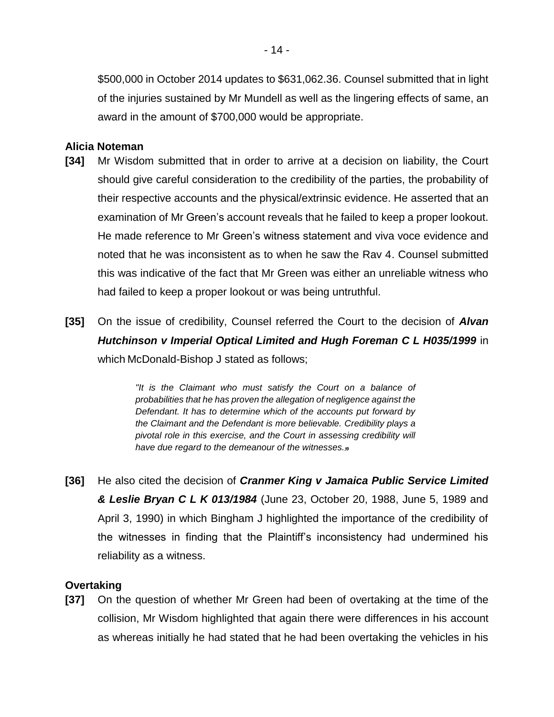\$500,000 in October 2014 updates to \$631,062.36. Counsel submitted that in light of the injuries sustained by Mr Mundell as well as the lingering effects of same, an award in the amount of \$700,000 would be appropriate.

### **Alicia Noteman**

- **[34]** Mr Wisdom submitted that in order to arrive at a decision on liability, the Court should give careful consideration to the credibility of the parties, the probability of their respective accounts and the physical/extrinsic evidence. He asserted that an examination of Mr Green's account reveals that he failed to keep a proper lookout. He made reference to Mr Green's witness statement and viva voce evidence and noted that he was inconsistent as to when he saw the Rav 4. Counsel submitted this was indicative of the fact that Mr Green was either an unreliable witness who had failed to keep a proper lookout or was being untruthful.
- **[35]** On the issue of credibility, Counsel referred the Court to the decision of *Alvan Hutchinson v Imperial Optical Limited and Hugh Foreman C L H035/1999* in which McDonald-Bishop J stated as follows;

*"It is the Claimant who must satisfy the Court on a balance of probabilities that he has proven the allegation of negligence against the Defendant. It has to determine which of the accounts put forward by the Claimant and the Defendant is more believable. Credibility plays a pivotal role in this exercise, and the Court in assessing credibility will have due regard to the demeanour of the witnesses.*

**[36]** He also cited the decision of *Cranmer King v Jamaica Public Service Limited & Leslie Bryan C L K 013/1984* (June 23, October 20, 1988, June 5, 1989 and April 3, 1990) in which Bingham J highlighted the importance of the credibility of the witnesses in finding that the Plaintiff's inconsistency had undermined his reliability as a witness.

## **Overtaking**

**[37]** On the question of whether Mr Green had been of overtaking at the time of the collision, Mr Wisdom highlighted that again there were differences in his account as whereas initially he had stated that he had been overtaking the vehicles in his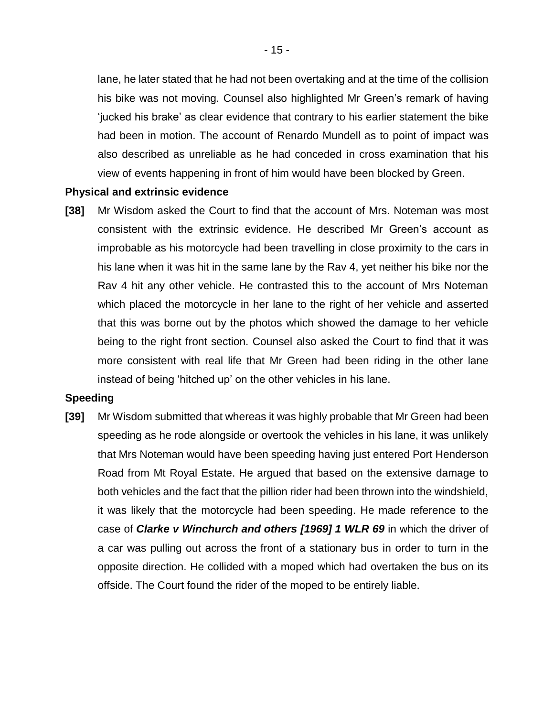lane, he later stated that he had not been overtaking and at the time of the collision his bike was not moving. Counsel also highlighted Mr Green's remark of having 'jucked his brake' as clear evidence that contrary to his earlier statement the bike had been in motion. The account of Renardo Mundell as to point of impact was also described as unreliable as he had conceded in cross examination that his view of events happening in front of him would have been blocked by Green.

#### **Physical and extrinsic evidence**

**[38]** Mr Wisdom asked the Court to find that the account of Mrs. Noteman was most consistent with the extrinsic evidence. He described Mr Green's account as improbable as his motorcycle had been travelling in close proximity to the cars in his lane when it was hit in the same lane by the Rav 4, yet neither his bike nor the Rav 4 hit any other vehicle. He contrasted this to the account of Mrs Noteman which placed the motorcycle in her lane to the right of her vehicle and asserted that this was borne out by the photos which showed the damage to her vehicle being to the right front section. Counsel also asked the Court to find that it was more consistent with real life that Mr Green had been riding in the other lane instead of being 'hitched up' on the other vehicles in his lane.

#### **Speeding**

**[39]** Mr Wisdom submitted that whereas it was highly probable that Mr Green had been speeding as he rode alongside or overtook the vehicles in his lane, it was unlikely that Mrs Noteman would have been speeding having just entered Port Henderson Road from Mt Royal Estate. He argued that based on the extensive damage to both vehicles and the fact that the pillion rider had been thrown into the windshield, it was likely that the motorcycle had been speeding. He made reference to the case of *Clarke v Winchurch and others [1969] 1 WLR 69* in which the driver of a car was pulling out across the front of a stationary bus in order to turn in the opposite direction. He collided with a moped which had overtaken the bus on its offside. The Court found the rider of the moped to be entirely liable.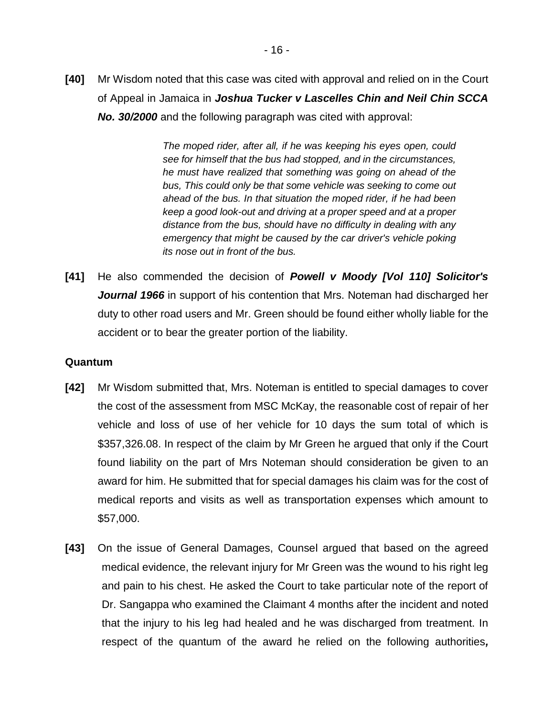**[40]** Mr Wisdom noted that this case was cited with approval and relied on in the Court of Appeal in Jamaica in *Joshua Tucker v Lascelles Chin and Neil Chin SCCA No. 30/2000* and the following paragraph was cited with approval:

> *The moped rider, after all, if he was keeping his eyes open, could see for himself that the bus had stopped, and in the circumstances, he must have realized that something was going on ahead of the bus, This could only be that some vehicle was seeking to come out ahead of the bus. In that situation the moped rider, if he had been keep a good look-out and driving at a proper speed and at a proper distance from the bus, should have no difficulty in dealing with any emergency that might be caused by the car driver's vehicle poking its nose out in front of the bus.*

**[41]** He also commended the decision of *Powell v Moody [Vol 110] Solicitor's Journal 1966* in support of his contention that Mrs. Noteman had discharged her duty to other road users and Mr. Green should be found either wholly liable for the accident or to bear the greater portion of the liability.

## **Quantum**

- **[42]** Mr Wisdom submitted that, Mrs. Noteman is entitled to special damages to cover the cost of the assessment from MSC McKay, the reasonable cost of repair of her vehicle and loss of use of her vehicle for 10 days the sum total of which is \$357,326.08. In respect of the claim by Mr Green he argued that only if the Court found liability on the part of Mrs Noteman should consideration be given to an award for him. He submitted that for special damages his claim was for the cost of medical reports and visits as well as transportation expenses which amount to \$57,000.
- **[43]** On the issue of General Damages, Counsel argued that based on the agreed medical evidence, the relevant injury for Mr Green was the wound to his right leg and pain to his chest. He asked the Court to take particular note of the report of Dr. Sangappa who examined the Claimant 4 months after the incident and noted that the injury to his leg had healed and he was discharged from treatment. In respect of the quantum of the award he relied on the following authorities*,*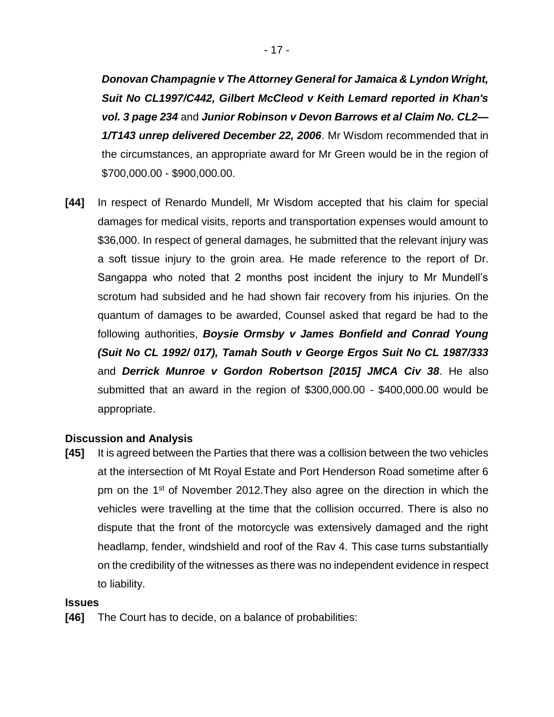*Donovan Champagnie v The Attorney General for Jamaica & Lyndon Wright, Suit No CL1997/C442, Gilbert McCleod v Keith Lemard reported in Khan's vol. 3 page 234* and *Junior Robinson v Devon Barrows et al Claim No. CL2— 1/T143 unrep delivered December 22, 2006*. Mr Wisdom recommended that in the circumstances, an appropriate award for Mr Green would be in the region of \$700,000.00 - \$900,000.00.

**[44]** In respect of Renardo Mundell, Mr Wisdom accepted that his claim for special damages for medical visits, reports and transportation expenses would amount to \$36,000. In respect of general damages, he submitted that the relevant injury was a soft tissue injury to the groin area. He made reference to the report of Dr. Sangappa who noted that 2 months post incident the injury to Mr Mundell's scrotum had subsided and he had shown fair recovery from his injuries. On the quantum of damages to be awarded, Counsel asked that regard be had to the following authorities, *Boysie Ormsby v James Bonfield and Conrad Young (Suit No CL 1992/ 017), Tamah South v George Ergos Suit No CL 1987/333* and *Derrick Munroe v Gordon Robertson [2015] JMCA Civ 38*. He also submitted that an award in the region of \$300,000.00 - \$400,000.00 would be appropriate.

## **Discussion and Analysis**

**[45]** It is agreed between the Parties that there was a collision between the two vehicles at the intersection of Mt Royal Estate and Port Henderson Road sometime after 6 pm on the 1st of November 2012.They also agree on the direction in which the vehicles were travelling at the time that the collision occurred. There is also no dispute that the front of the motorcycle was extensively damaged and the right headlamp, fender, windshield and roof of the Rav 4. This case turns substantially on the credibility of the witnesses as there was no independent evidence in respect to liability.

#### **Issues**

**[46]** The Court has to decide, on a balance of probabilities: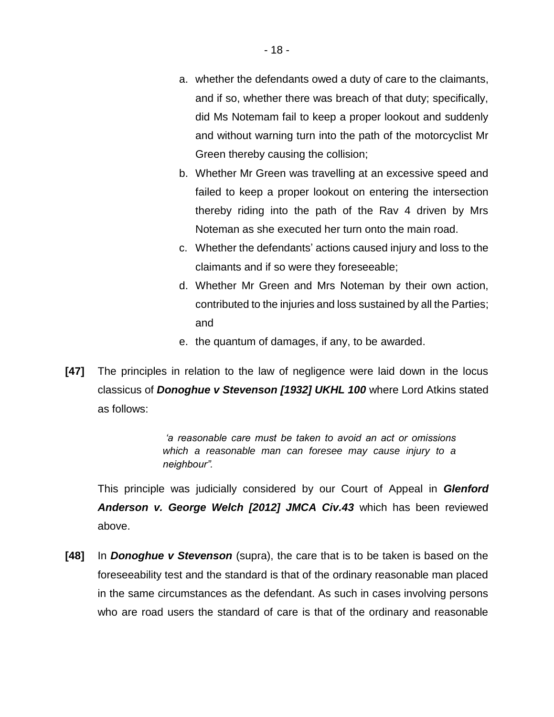- a. whether the defendants owed a duty of care to the claimants, and if so, whether there was breach of that duty; specifically, did Ms Notemam fail to keep a proper lookout and suddenly and without warning turn into the path of the motorcyclist Mr Green thereby causing the collision;
- b. Whether Mr Green was travelling at an excessive speed and failed to keep a proper lookout on entering the intersection thereby riding into the path of the Rav 4 driven by Mrs Noteman as she executed her turn onto the main road.
- c. Whether the defendants' actions caused injury and loss to the claimants and if so were they foreseeable;
- d. Whether Mr Green and Mrs Noteman by their own action, contributed to the injuries and loss sustained by all the Parties; and
- e. the quantum of damages, if any, to be awarded.
- **[47]** The principles in relation to the law of negligence were laid down in the locus classicus of *Donoghue v Stevenson [1932] UKHL 100* where Lord Atkins stated as follows:

*'a reasonable care must be taken to avoid an act or omissions which a reasonable man can foresee may cause injury to a neighbour".* 

This principle was judicially considered by our Court of Appeal in *Glenford Anderson v. George Welch [2012] JMCA Civ.43* which has been reviewed above.

**[48]** In *Donoghue v Stevenson* (supra), the care that is to be taken is based on the foreseeability test and the standard is that of the ordinary reasonable man placed in the same circumstances as the defendant. As such in cases involving persons who are road users the standard of care is that of the ordinary and reasonable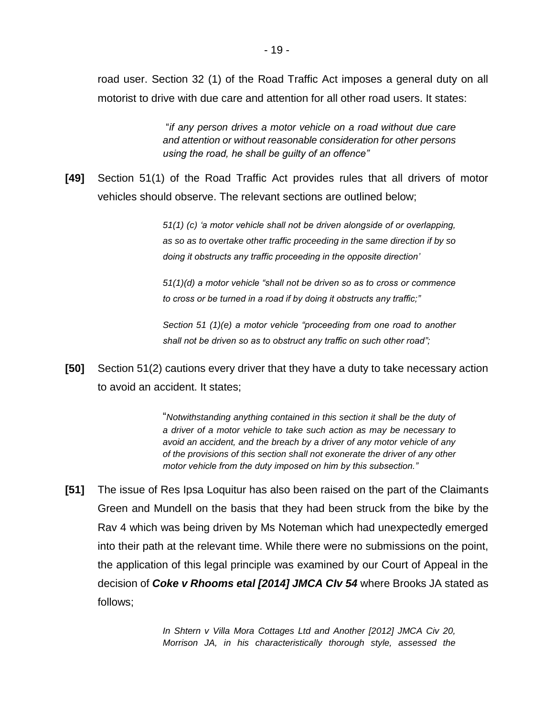road user. Section 32 (1) of the Road Traffic Act imposes a general duty on all motorist to drive with due care and attention for all other road users. It states:

> "*if any person drives a motor vehicle on a road without due care and attention or without reasonable consideration for other persons using the road, he shall be guilty of an offence"*

**[49]** Section 51(1) of the Road Traffic Act provides rules that all drivers of motor vehicles should observe. The relevant sections are outlined below;

> *51(1) (c) 'a motor vehicle shall not be driven alongside of or overlapping, as so as to overtake other traffic proceeding in the same direction if by so doing it obstructs any traffic proceeding in the opposite direction'*

> *51(1)(d) a motor vehicle "shall not be driven so as to cross or commence to cross or be turned in a road if by doing it obstructs any traffic;"*

> *Section 51 (1)(e) a motor vehicle "proceeding from one road to another shall not be driven so as to obstruct any traffic on such other road";*

**[50]** Section 51(2) cautions every driver that they have a duty to take necessary action to avoid an accident. It states;

> "*Notwithstanding anything contained in this section it shall be the duty of a driver of a motor vehicle to take such action as may be necessary to avoid an accident, and the breach by a driver of any motor vehicle of any of the provisions of this section shall not exonerate the driver of any other motor vehicle from the duty imposed on him by this subsection."*

**[51]** The issue of Res Ipsa Loquitur has also been raised on the part of the Claimants Green and Mundell on the basis that they had been struck from the bike by the Rav 4 which was being driven by Ms Noteman which had unexpectedly emerged into their path at the relevant time. While there were no submissions on the point, the application of this legal principle was examined by our Court of Appeal in the decision of *Coke v Rhooms etal [2014] JMCA CIv 54* where Brooks JA stated as follows;

> *In Shtern v Villa Mora Cottages Ltd and Another [2012] JMCA Civ 20, Morrison JA, in his characteristically thorough style, assessed the*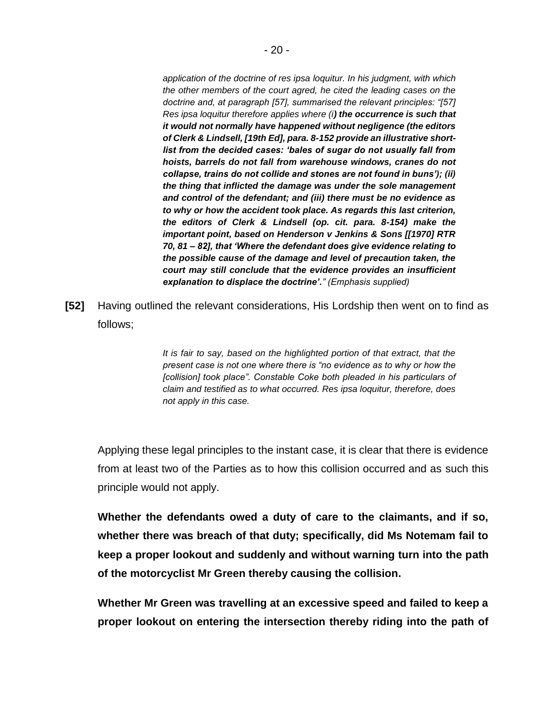*application of the doctrine of res ipsa loquitur. In his judgment, with which the other members of the court agred, he cited the leading cases on the doctrine and, at paragraph [57], summarised the relevant principles: "[57] Res ipsa loquitur therefore applies where (i) the occurrence is such that it would not normally have happened without negligence (the editors of Clerk & Lindsell, [19th Ed], para. 8-152 provide an illustrative shortlist from the decided cases: 'bales of sugar do not usually fall from hoists, barrels do not fall from warehouse windows, cranes do not collapse, trains do not collide and stones are not found in buns'); (ii) the thing that inflicted the damage was under the sole management and control of the defendant; and (iii) there must be no evidence as to why or how the accident took place. As regards this last criterion, the editors of Clerk & Lindsell (op. cit. para. 8-154) make the important point, based on Henderson v Jenkins & Sons [[1970] RTR 70, 81 – 82], that 'Where the defendant does give evidence relating to the possible cause of the damage and level of precaution taken, the court may still conclude that the evidence provides an insufficient explanation to displace the doctrine'." (Emphasis supplied)*

**[52]** Having outlined the relevant considerations, His Lordship then went on to find as follows;

> *It is fair to say, based on the highlighted portion of that extract, that the present case is not one where there is "no evidence as to why or how the [collision] took place". Constable Coke both pleaded in his particulars of claim and testified as to what occurred. Res ipsa loquitur, therefore, does not apply in this case.*

Applying these legal principles to the instant case, it is clear that there is evidence from at least two of the Parties as to how this collision occurred and as such this principle would not apply.

**Whether the defendants owed a duty of care to the claimants, and if so, whether there was breach of that duty; specifically, did Ms Notemam fail to keep a proper lookout and suddenly and without warning turn into the path of the motorcyclist Mr Green thereby causing the collision.**

**Whether Mr Green was travelling at an excessive speed and failed to keep a proper lookout on entering the intersection thereby riding into the path of**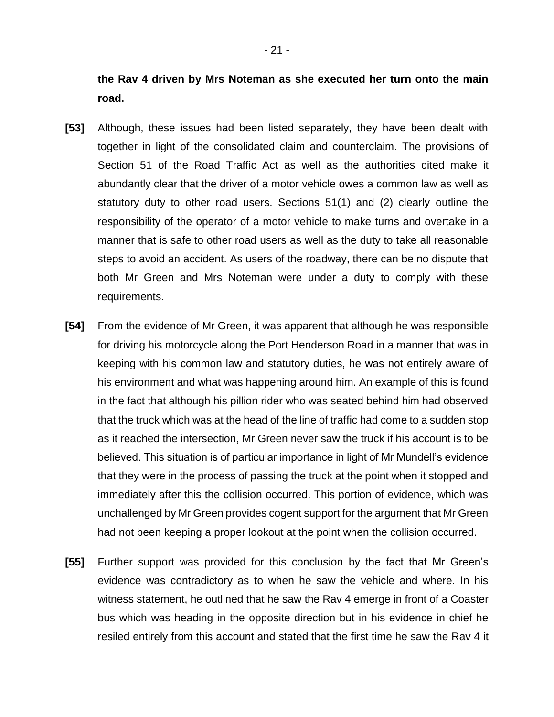**the Rav 4 driven by Mrs Noteman as she executed her turn onto the main road.**

- **[53]** Although, these issues had been listed separately, they have been dealt with together in light of the consolidated claim and counterclaim. The provisions of Section 51 of the Road Traffic Act as well as the authorities cited make it abundantly clear that the driver of a motor vehicle owes a common law as well as statutory duty to other road users. Sections 51(1) and (2) clearly outline the responsibility of the operator of a motor vehicle to make turns and overtake in a manner that is safe to other road users as well as the duty to take all reasonable steps to avoid an accident. As users of the roadway, there can be no dispute that both Mr Green and Mrs Noteman were under a duty to comply with these requirements.
- **[54]** From the evidence of Mr Green, it was apparent that although he was responsible for driving his motorcycle along the Port Henderson Road in a manner that was in keeping with his common law and statutory duties, he was not entirely aware of his environment and what was happening around him. An example of this is found in the fact that although his pillion rider who was seated behind him had observed that the truck which was at the head of the line of traffic had come to a sudden stop as it reached the intersection, Mr Green never saw the truck if his account is to be believed. This situation is of particular importance in light of Mr Mundell's evidence that they were in the process of passing the truck at the point when it stopped and immediately after this the collision occurred. This portion of evidence, which was unchallenged by Mr Green provides cogent support for the argument that Mr Green had not been keeping a proper lookout at the point when the collision occurred.
- **[55]** Further support was provided for this conclusion by the fact that Mr Green's evidence was contradictory as to when he saw the vehicle and where. In his witness statement, he outlined that he saw the Rav 4 emerge in front of a Coaster bus which was heading in the opposite direction but in his evidence in chief he resiled entirely from this account and stated that the first time he saw the Rav 4 it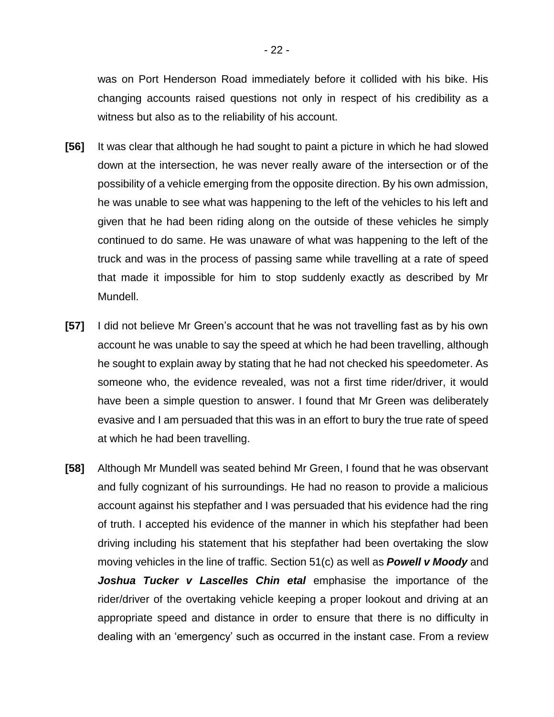was on Port Henderson Road immediately before it collided with his bike. His changing accounts raised questions not only in respect of his credibility as a witness but also as to the reliability of his account.

- **[56]** It was clear that although he had sought to paint a picture in which he had slowed down at the intersection, he was never really aware of the intersection or of the possibility of a vehicle emerging from the opposite direction. By his own admission, he was unable to see what was happening to the left of the vehicles to his left and given that he had been riding along on the outside of these vehicles he simply continued to do same. He was unaware of what was happening to the left of the truck and was in the process of passing same while travelling at a rate of speed that made it impossible for him to stop suddenly exactly as described by Mr Mundell.
- **[57]** I did not believe Mr Green's account that he was not travelling fast as by his own account he was unable to say the speed at which he had been travelling, although he sought to explain away by stating that he had not checked his speedometer. As someone who, the evidence revealed, was not a first time rider/driver, it would have been a simple question to answer. I found that Mr Green was deliberately evasive and I am persuaded that this was in an effort to bury the true rate of speed at which he had been travelling.
- **[58]** Although Mr Mundell was seated behind Mr Green, I found that he was observant and fully cognizant of his surroundings. He had no reason to provide a malicious account against his stepfather and I was persuaded that his evidence had the ring of truth. I accepted his evidence of the manner in which his stepfather had been driving including his statement that his stepfather had been overtaking the slow moving vehicles in the line of traffic. Section 51(c) as well as *Powell v Moody* and *Joshua Tucker v Lascelles Chin etal* emphasise the importance of the rider/driver of the overtaking vehicle keeping a proper lookout and driving at an appropriate speed and distance in order to ensure that there is no difficulty in dealing with an 'emergency' such as occurred in the instant case. From a review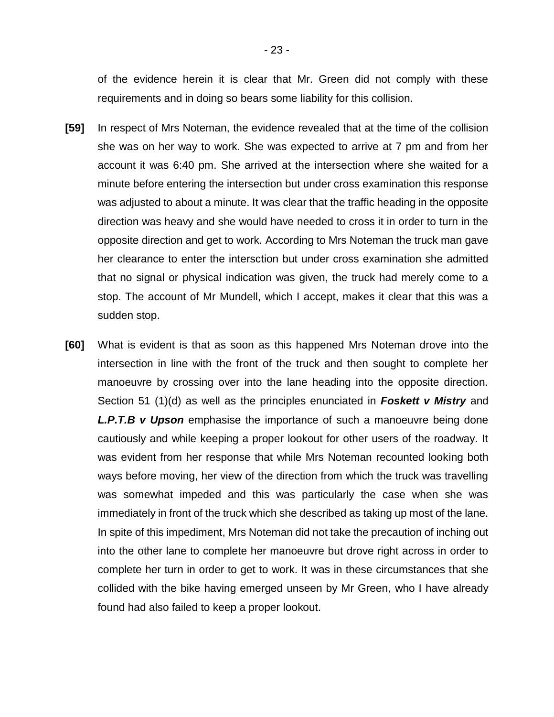of the evidence herein it is clear that Mr. Green did not comply with these requirements and in doing so bears some liability for this collision.

- **[59]** In respect of Mrs Noteman, the evidence revealed that at the time of the collision she was on her way to work. She was expected to arrive at 7 pm and from her account it was 6:40 pm. She arrived at the intersection where she waited for a minute before entering the intersection but under cross examination this response was adjusted to about a minute. It was clear that the traffic heading in the opposite direction was heavy and she would have needed to cross it in order to turn in the opposite direction and get to work. According to Mrs Noteman the truck man gave her clearance to enter the intersction but under cross examination she admitted that no signal or physical indication was given, the truck had merely come to a stop. The account of Mr Mundell, which I accept, makes it clear that this was a sudden stop.
- **[60]** What is evident is that as soon as this happened Mrs Noteman drove into the intersection in line with the front of the truck and then sought to complete her manoeuvre by crossing over into the lane heading into the opposite direction. Section 51 (1)(d) as well as the principles enunciated in *Foskett v Mistry* and *L.P.T.B v Upson* emphasise the importance of such a manoeuvre being done cautiously and while keeping a proper lookout for other users of the roadway. It was evident from her response that while Mrs Noteman recounted looking both ways before moving, her view of the direction from which the truck was travelling was somewhat impeded and this was particularly the case when she was immediately in front of the truck which she described as taking up most of the lane. In spite of this impediment, Mrs Noteman did not take the precaution of inching out into the other lane to complete her manoeuvre but drove right across in order to complete her turn in order to get to work. It was in these circumstances that she collided with the bike having emerged unseen by Mr Green, who I have already found had also failed to keep a proper lookout.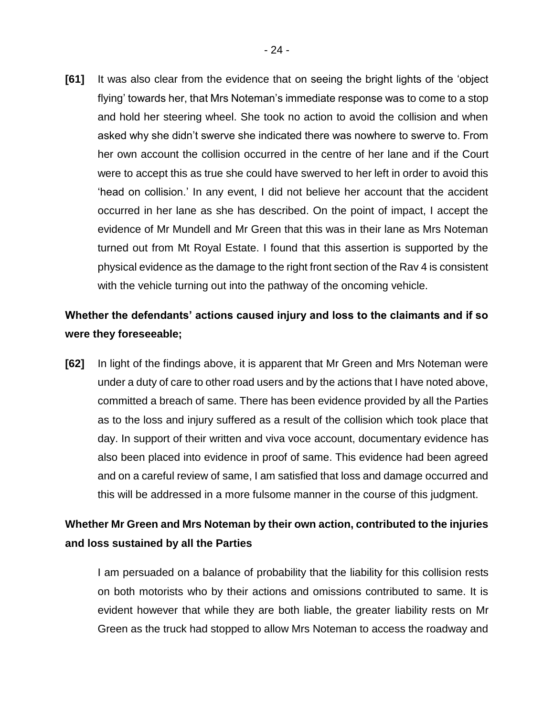**[61]** It was also clear from the evidence that on seeing the bright lights of the 'object flying' towards her, that Mrs Noteman's immediate response was to come to a stop and hold her steering wheel. She took no action to avoid the collision and when asked why she didn't swerve she indicated there was nowhere to swerve to. From her own account the collision occurred in the centre of her lane and if the Court were to accept this as true she could have swerved to her left in order to avoid this 'head on collision.' In any event, I did not believe her account that the accident occurred in her lane as she has described. On the point of impact, I accept the evidence of Mr Mundell and Mr Green that this was in their lane as Mrs Noteman turned out from Mt Royal Estate. I found that this assertion is supported by the physical evidence as the damage to the right front section of the Rav 4 is consistent with the vehicle turning out into the pathway of the oncoming vehicle.

## **Whether the defendants' actions caused injury and loss to the claimants and if so were they foreseeable;**

**[62]** In light of the findings above, it is apparent that Mr Green and Mrs Noteman were under a duty of care to other road users and by the actions that I have noted above, committed a breach of same. There has been evidence provided by all the Parties as to the loss and injury suffered as a result of the collision which took place that day. In support of their written and viva voce account, documentary evidence has also been placed into evidence in proof of same. This evidence had been agreed and on a careful review of same, I am satisfied that loss and damage occurred and this will be addressed in a more fulsome manner in the course of this judgment.

## **Whether Mr Green and Mrs Noteman by their own action, contributed to the injuries and loss sustained by all the Parties**

I am persuaded on a balance of probability that the liability for this collision rests on both motorists who by their actions and omissions contributed to same. It is evident however that while they are both liable, the greater liability rests on Mr Green as the truck had stopped to allow Mrs Noteman to access the roadway and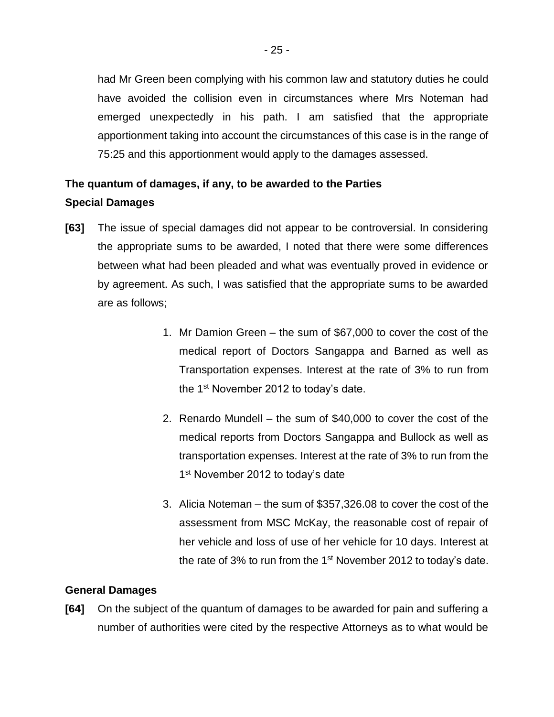had Mr Green been complying with his common law and statutory duties he could have avoided the collision even in circumstances where Mrs Noteman had emerged unexpectedly in his path. I am satisfied that the appropriate apportionment taking into account the circumstances of this case is in the range of 75:25 and this apportionment would apply to the damages assessed.

# **The quantum of damages, if any, to be awarded to the Parties Special Damages**

- **[63]** The issue of special damages did not appear to be controversial. In considering the appropriate sums to be awarded, I noted that there were some differences between what had been pleaded and what was eventually proved in evidence or by agreement. As such, I was satisfied that the appropriate sums to be awarded are as follows;
	- 1. Mr Damion Green the sum of \$67,000 to cover the cost of the medical report of Doctors Sangappa and Barned as well as Transportation expenses. Interest at the rate of 3% to run from the 1<sup>st</sup> November 2012 to today's date.
	- 2. Renardo Mundell the sum of \$40,000 to cover the cost of the medical reports from Doctors Sangappa and Bullock as well as transportation expenses. Interest at the rate of 3% to run from the 1<sup>st</sup> November 2012 to today's date
	- 3. Alicia Noteman the sum of \$357,326.08 to cover the cost of the assessment from MSC McKay, the reasonable cost of repair of her vehicle and loss of use of her vehicle for 10 days. Interest at the rate of 3% to run from the  $1<sup>st</sup>$  November 2012 to today's date.

## **General Damages**

**[64]** On the subject of the quantum of damages to be awarded for pain and suffering a number of authorities were cited by the respective Attorneys as to what would be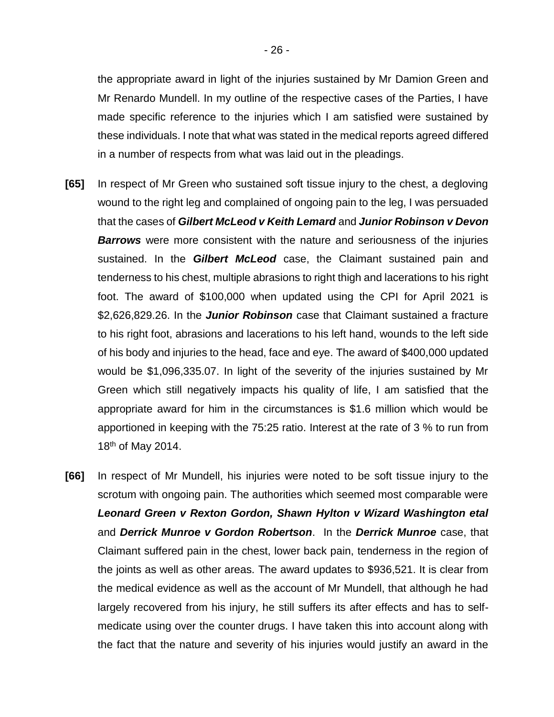the appropriate award in light of the injuries sustained by Mr Damion Green and Mr Renardo Mundell. In my outline of the respective cases of the Parties, I have made specific reference to the injuries which I am satisfied were sustained by these individuals. I note that what was stated in the medical reports agreed differed in a number of respects from what was laid out in the pleadings.

- **[65]** In respect of Mr Green who sustained soft tissue injury to the chest, a degloving wound to the right leg and complained of ongoing pain to the leg, I was persuaded that the cases of *Gilbert McLeod v Keith Lemard* and *Junior Robinson v Devon Barrows* were more consistent with the nature and seriousness of the injuries sustained. In the *Gilbert McLeod* case, the Claimant sustained pain and tenderness to his chest, multiple abrasions to right thigh and lacerations to his right foot. The award of \$100,000 when updated using the CPI for April 2021 is \$2,626,829.26. In the *Junior Robinson* case that Claimant sustained a fracture to his right foot, abrasions and lacerations to his left hand, wounds to the left side of his body and injuries to the head, face and eye. The award of \$400,000 updated would be \$1,096,335.07. In light of the severity of the injuries sustained by Mr Green which still negatively impacts his quality of life, I am satisfied that the appropriate award for him in the circumstances is \$1.6 million which would be apportioned in keeping with the 75:25 ratio. Interest at the rate of 3 % to run from 18th of May 2014.
- **[66]** In respect of Mr Mundell, his injuries were noted to be soft tissue injury to the scrotum with ongoing pain. The authorities which seemed most comparable were *Leonard Green v Rexton Gordon, Shawn Hylton v Wizard Washington etal* and *Derrick Munroe v Gordon Robertson*. In the *Derrick Munroe* case, that Claimant suffered pain in the chest, lower back pain, tenderness in the region of the joints as well as other areas. The award updates to \$936,521. It is clear from the medical evidence as well as the account of Mr Mundell, that although he had largely recovered from his injury, he still suffers its after effects and has to selfmedicate using over the counter drugs. I have taken this into account along with the fact that the nature and severity of his injuries would justify an award in the